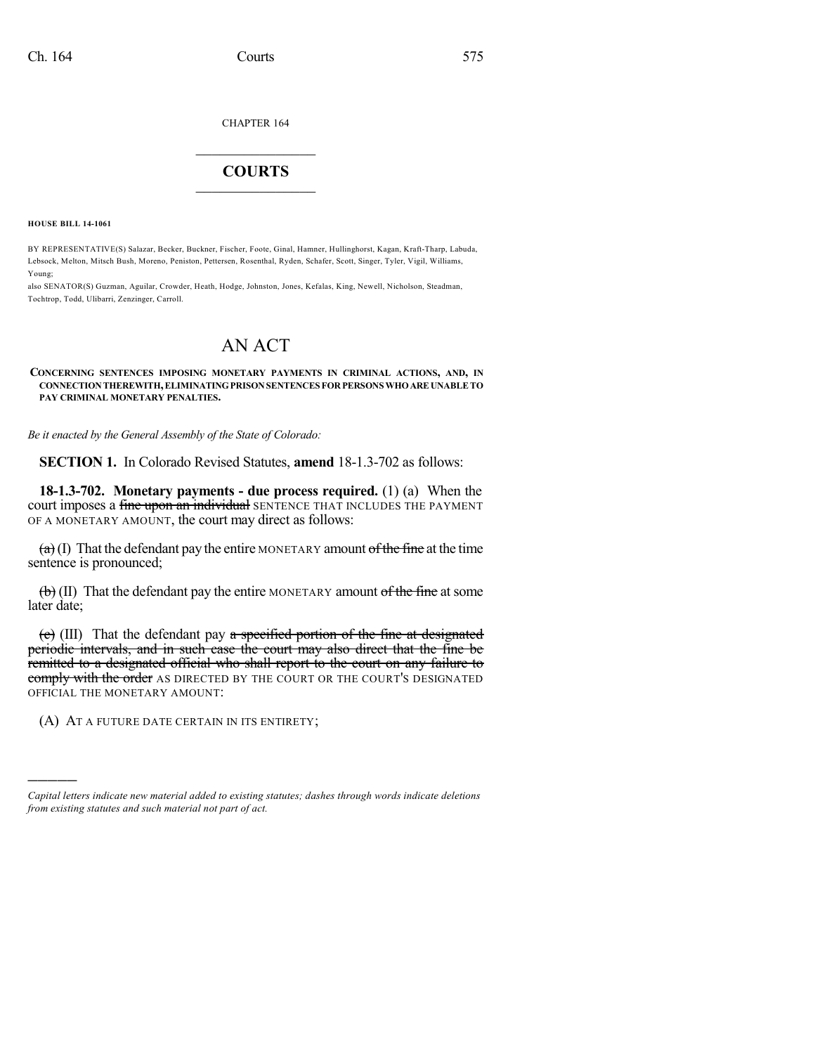CHAPTER 164

## $\overline{\phantom{a}}$  . The set of the set of the set of the set of the set of the set of the set of the set of the set of the set of the set of the set of the set of the set of the set of the set of the set of the set of the set o **COURTS**  $\_$   $\_$   $\_$   $\_$   $\_$   $\_$   $\_$   $\_$

**HOUSE BILL 14-1061**

)))))

BY REPRESENTATIVE(S) Salazar, Becker, Buckner, Fischer, Foote, Ginal, Hamner, Hullinghorst, Kagan, Kraft-Tharp, Labuda, Lebsock, Melton, Mitsch Bush, Moreno, Peniston, Pettersen, Rosenthal, Ryden, Schafer, Scott, Singer, Tyler, Vigil, Williams, Young;

also SENATOR(S) Guzman, Aguilar, Crowder, Heath, Hodge, Johnston, Jones, Kefalas, King, Newell, Nicholson, Steadman, Tochtrop, Todd, Ulibarri, Zenzinger, Carroll.

## AN ACT

**CONCERNING SENTENCES IMPOSING MONETARY PAYMENTS IN CRIMINAL ACTIONS, AND, IN CONNECTIONTHEREWITH,ELIMINATINGPRISONSENTENCES FORPERSONS WHOAREUNABLETO PAY CRIMINAL MONETARY PENALTIES.**

*Be it enacted by the General Assembly of the State of Colorado:*

**SECTION 1.** In Colorado Revised Statutes, **amend** 18-1.3-702 as follows:

**18-1.3-702. Monetary payments - due process required.** (1) (a) When the court imposes a fine upon an individual SENTENCE THAT INCLUDES THE PAYMENT OF A MONETARY AMOUNT, the court may direct as follows:

 $\left( \frac{a}{b} \right)$  (I) That the defendant pay the entire MONETARY amount of the fine at the time sentence is pronounced;

 $\left(\frac{b}{b}\right)$  (II) That the defendant pay the entire MONETARY amount of the fine at some later date;

 $(e)$  (III) That the defendant pay a specified portion of the fine at designated periodic intervals, and in such case the court may also direct that the fine be remitted to a designated official who shall report to the court on any failure to comply with the order AS DIRECTED BY THE COURT OR THE COURT'S DESIGNATED OFFICIAL THE MONETARY AMOUNT:

(A) AT A FUTURE DATE CERTAIN IN ITS ENTIRETY;

*Capital letters indicate new material added to existing statutes; dashes through words indicate deletions from existing statutes and such material not part of act.*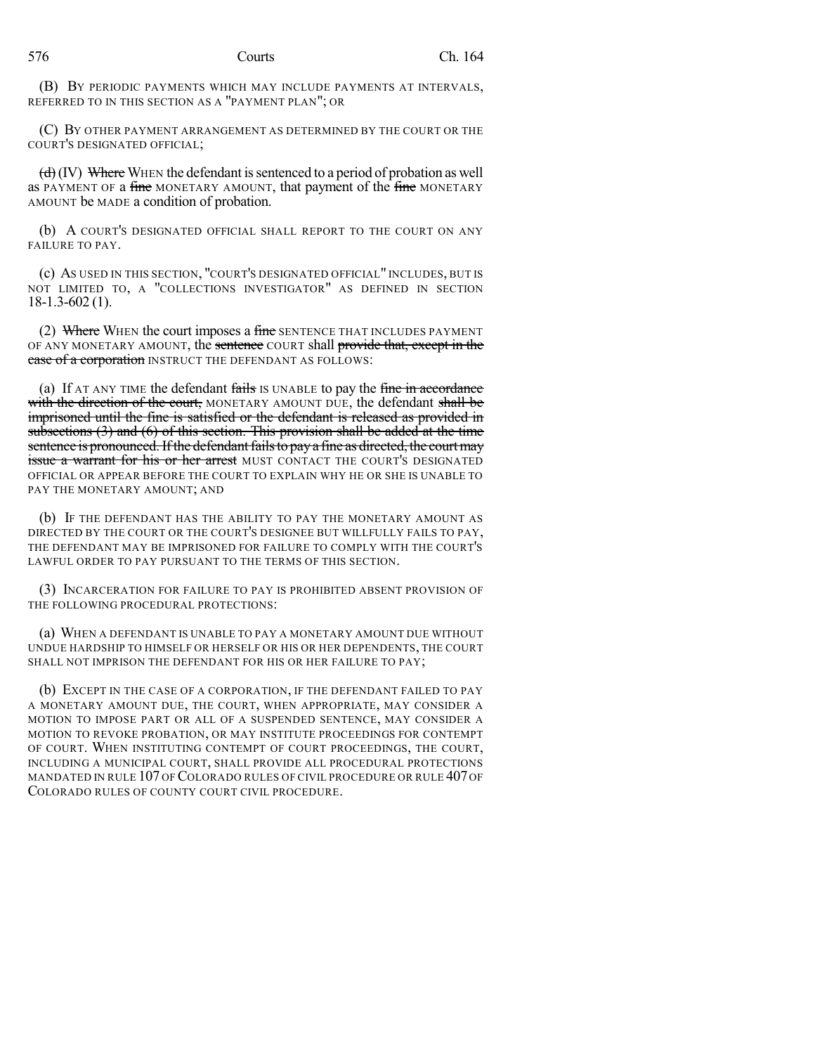(B) BY PERIODIC PAYMENTS WHICH MAY INCLUDE PAYMENTS AT INTERVALS, REFERRED TO IN THIS SECTION AS A "PAYMENT PLAN"; OR

(C) BY OTHER PAYMENT ARRANGEMENT AS DETERMINED BY THE COURT OR THE COURT'S DESIGNATED OFFICIAL;

 $(d)$  (IV) Where WHEN the defendant is sentenced to a period of probation as well as PAYMENT OF a fine MONETARY AMOUNT, that payment of the fine MONETARY AMOUNT be MADE a condition of probation.

(b) A COURT'S DESIGNATED OFFICIAL SHALL REPORT TO THE COURT ON ANY FAILURE TO PAY.

(c) AS USED IN THIS SECTION, "COURT'S DESIGNATED OFFICIAL" INCLUDES, BUT IS NOT LIMITED TO, A "COLLECTIONS INVESTIGATOR" AS DEFINED IN SECTION 18-1.3-602 (1).

(2) Where WHEN the court imposes a fine SENTENCE THAT INCLUDES PAYMENT OF ANY MONETARY AMOUNT, the sentence COURT shall provide that, except in the case of a corporation INSTRUCT THE DEFENDANT AS FOLLOWS:

(a) If AT ANY TIME the defendant fails IS UNABLE to pay the fine in accordance with the direction of the court, MONETARY AMOUNT DUE, the defendant shall be imprisoned until the fine is satisfied or the defendant is released as provided in subsections (3) and (6) of this section. This provision shall be added at the time sentence is pronounced. If the defendant fails to pay a fine as directed, the court may issue a warrant for his or her arrest MUST CONTACT THE COURT'S DESIGNATED OFFICIAL OR APPEAR BEFORE THE COURT TO EXPLAIN WHY HE OR SHE IS UNABLE TO PAY THE MONETARY AMOUNT; AND

(b) IF THE DEFENDANT HAS THE ABILITY TO PAY THE MONETARY AMOUNT AS DIRECTED BY THE COURT OR THE COURT'S DESIGNEE BUT WILLFULLY FAILS TO PAY, THE DEFENDANT MAY BE IMPRISONED FOR FAILURE TO COMPLY WITH THE COURT'S LAWFUL ORDER TO PAY PURSUANT TO THE TERMS OF THIS SECTION.

(3) INCARCERATION FOR FAILURE TO PAY IS PROHIBITED ABSENT PROVISION OF THE FOLLOWING PROCEDURAL PROTECTIONS:

(a) WHEN A DEFENDANT IS UNABLE TO PAY A MONETARY AMOUNT DUE WITHOUT UNDUE HARDSHIP TO HIMSELF OR HERSELF OR HIS OR HER DEPENDENTS, THE COURT SHALL NOT IMPRISON THE DEFENDANT FOR HIS OR HER FAILURE TO PAY;

(b) EXCEPT IN THE CASE OF A CORPORATION, IF THE DEFENDANT FAILED TO PAY A MONETARY AMOUNT DUE, THE COURT, WHEN APPROPRIATE, MAY CONSIDER A MOTION TO IMPOSE PART OR ALL OF A SUSPENDED SENTENCE, MAY CONSIDER A MOTION TO REVOKE PROBATION, OR MAY INSTITUTE PROCEEDINGS FOR CONTEMPT OF COURT. WHEN INSTITUTING CONTEMPT OF COURT PROCEEDINGS, THE COURT, INCLUDING A MUNICIPAL COURT, SHALL PROVIDE ALL PROCEDURAL PROTECTIONS MANDATED IN RULE 107 OF COLORADO RULES OF CIVIL PROCEDURE OR RULE 407 OF COLORADO RULES OF COUNTY COURT CIVIL PROCEDURE.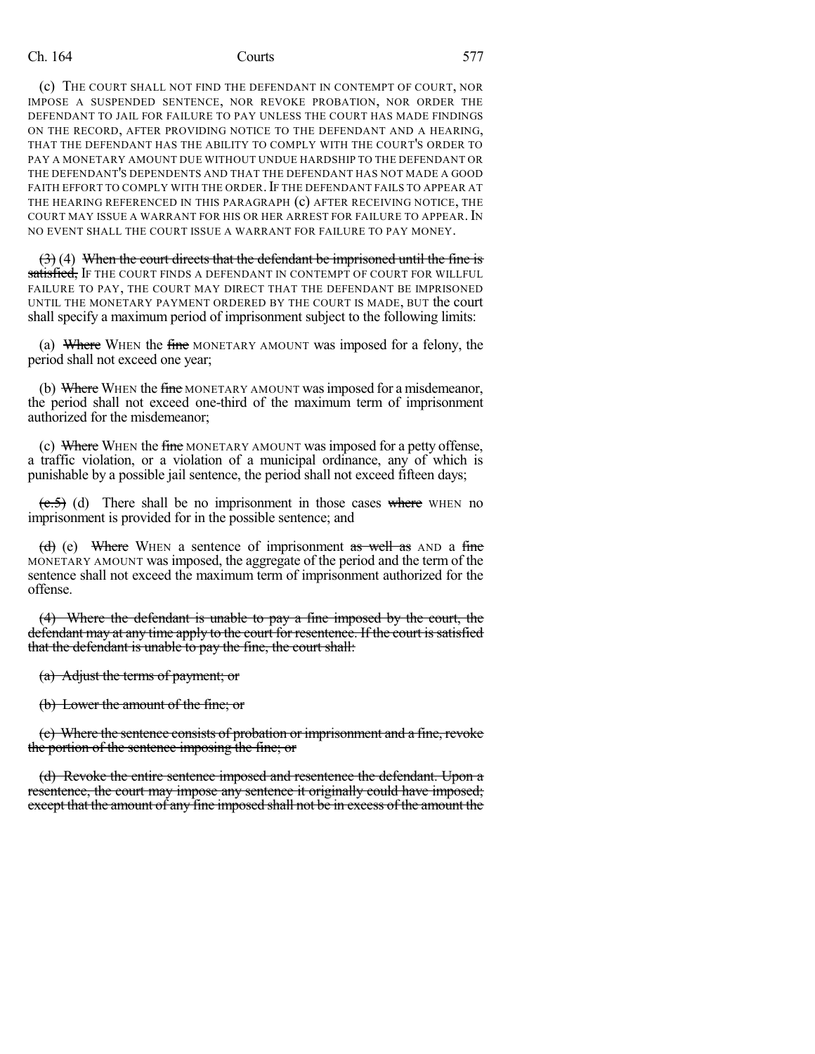(c) THE COURT SHALL NOT FIND THE DEFENDANT IN CONTEMPT OF COURT, NOR IMPOSE A SUSPENDED SENTENCE, NOR REVOKE PROBATION, NOR ORDER THE DEFENDANT TO JAIL FOR FAILURE TO PAY UNLESS THE COURT HAS MADE FINDINGS ON THE RECORD, AFTER PROVIDING NOTICE TO THE DEFENDANT AND A HEARING, THAT THE DEFENDANT HAS THE ABILITY TO COMPLY WITH THE COURT'S ORDER TO PAY A MONETARY AMOUNT DUE WITHOUT UNDUE HARDSHIP TO THE DEFENDANT OR THE DEFENDANT'S DEPENDENTS AND THAT THE DEFENDANT HAS NOT MADE A GOOD FAITH EFFORT TO COMPLY WITH THE ORDER. IF THE DEFENDANT FAILS TO APPEAR AT THE HEARING REFERENCED IN THIS PARAGRAPH (c) AFTER RECEIVING NOTICE, THE COURT MAY ISSUE A WARRANT FOR HIS OR HER ARREST FOR FAILURE TO APPEAR.IN NO EVENT SHALL THE COURT ISSUE A WARRANT FOR FAILURE TO PAY MONEY.

 $(3)$  (4) When the court directs that the defendant be imprisoned until the fine is satisfied, If the court finds a defendant in contempt of court for willful FAILURE TO PAY, THE COURT MAY DIRECT THAT THE DEFENDANT BE IMPRISONED UNTIL THE MONETARY PAYMENT ORDERED BY THE COURT IS MADE, BUT the court shall specify a maximum period of imprisonment subject to the following limits:

(a) Where WHEN the fine MONETARY AMOUNT was imposed for a felony, the period shall not exceed one year;

(b) Where WHEN the fine MONETARY AMOUNT was imposed for a misdemeanor, the period shall not exceed one-third of the maximum term of imprisonment authorized for the misdemeanor;

(c) Where WHEN the fine MONETARY AMOUNT was imposed for a petty offense, a traffic violation, or a violation of a municipal ordinance, any of which is punishable by a possible jail sentence, the period shall not exceed fifteen days;

 $(\epsilon.5)$  (d) There shall be no imprisonment in those cases where WHEN no imprisonment is provided for in the possible sentence; and

(d) (e) Where WHEN a sentence of imprisonment as well as  $AND$  a fine MONETARY AMOUNT was imposed, the aggregate of the period and the term of the sentence shall not exceed the maximum term of imprisonment authorized for the offense.

(4) Where the defendant is unable to pay a fine imposed by the court, the defendant may at any time apply to the court for resentence. If the court is satisfied that the defendant is unable to pay the fine, the court shall:

(a) Adjust the terms of payment; or

(b) Lower the amount of the fine; or

(c) Where the sentence consists of probation or imprisonment and a fine, revoke the portion of the sentence imposing the fine; or

(d) Revoke the entire sentence imposed and resentence the defendant. Upon a resentence, the court may impose any sentence it originally could have imposed; except that the amount of any fine imposed shall not be in excess of the amount the